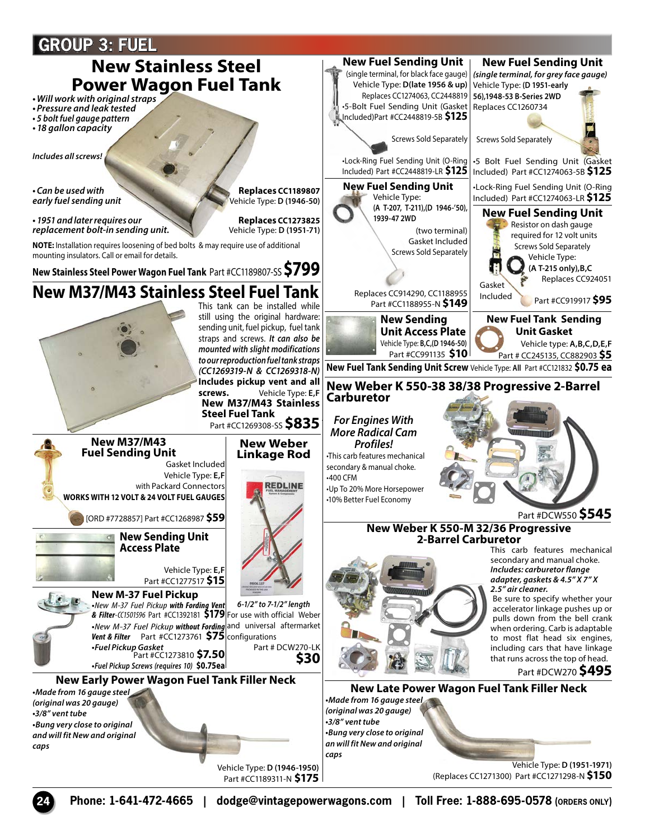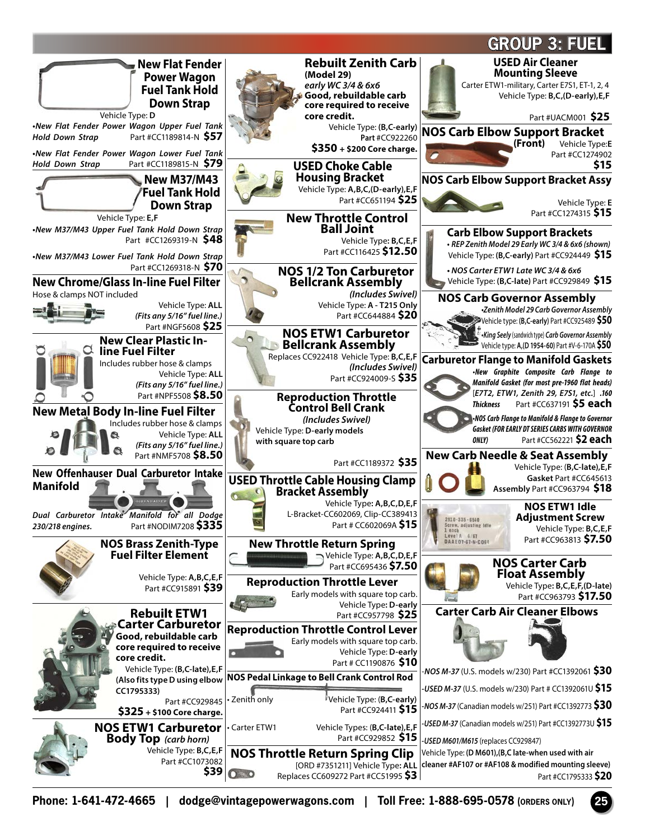

**Phone: 1-641-472-4665 | dodge@vintagepowerwagons.com | Toll Free: 1-888-695-0578 (ORDERS ONLY) 25**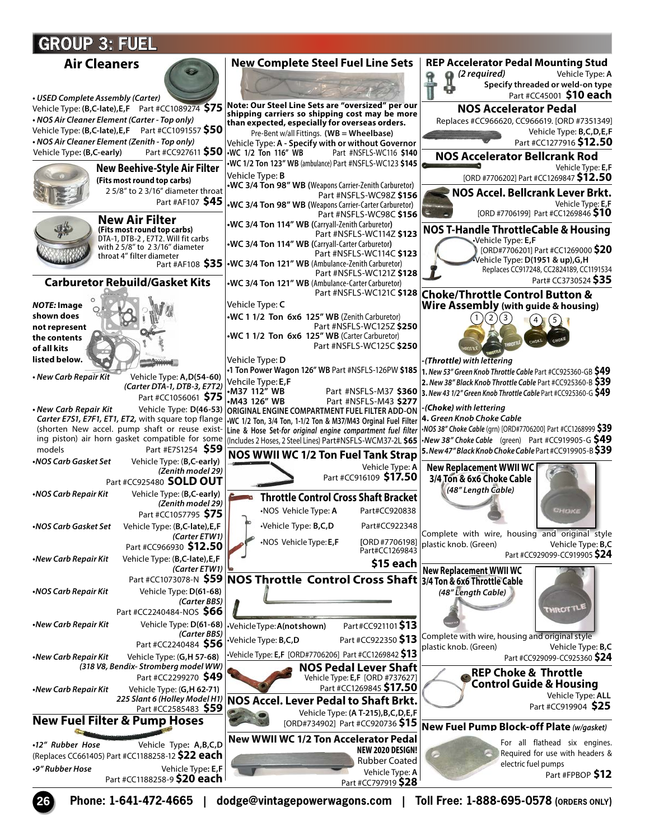## **GROUP 3: FUEL**



Part #CC797919 **\$28**